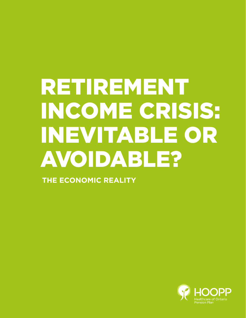# RETIREMENT INCOME CRISIS: INEVITABLE OR AVOIDABLE?

**THE ECONOMIC REALITY**

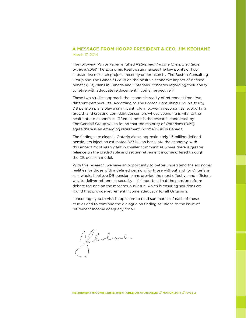## **A MESSAGE FROM HOOPP PRESIDENT & CEO, JIM KEOHANE** March 17, 2014

The following White Paper, entitled *Retirement Income Crisis: Inevitable or Avoidable?* The Economic Reality, summarizes the key points of two substantive research projects recently undertaken by The Boston Consulting Group and The Gandalf Group on the positive economic impact of defined benefit (DB) plans in Canada and Ontarians' concerns regarding their ability to retire with adequate replacement income, respectively.

These two studies approach the economic reality of retirement from two different perspectives. According to The Boston Consulting Group's study, DB pension plans play a significant role in powering economies, supporting growth and creating confident consumers whose spending is vital to the health of our economies. Of equal note is the research conducted by The Gandalf Group which found that the majority of Ontarians (86%) agree there is an emerging retirement income crisis in Canada.

The findings are clear. In Ontario alone, approximately 1.3 million defined pensioners inject an estimated \$27 billion back into the economy, with this impact most keenly felt in smaller communities where there is greater reliance on the predictable and secure retirement income offered through the DB pension model.

With this research, we have an opportunity to better understand the economic realities for those with a defined pension, for those without and for Ontarians as a whole. I believe DB pension plans provide the most effective and efficient way to deliver retirement security—it's important that the pension reform debate focuses on the most serious issue, which is ensuring solutions are found that provide retirement income adequacy for all Ontarians.

I encourage you to visit hoopp.com to read summaries of each of these studies and to continue the dialogue on finding solutions to the issue of retirement income adequacy for all.

Klulane

**RETIREMENT INCOME CRISIS: INEVITABLE OR AVOIDABLE? // MARCH 2014 // PAGE 2**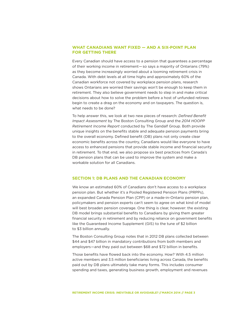### **WHAT CANADIANS WANT FIXED — AND A SIX-POINT PLAN FOR GETTING THERE**

Every Canadian should have access to a pension that guarantees a percentage of their working income in retirement — so says a majority of Ontarians (79%) as they become increasingly worried about a looming retirement crisis in Canada. With debt levels at all time highs and approximately 60% of the Canadian workforce not covered by workplace pension plans, research shows Ontarians are worried their savings won't be enough to keep them in retirement. They also believe government needs to step in and make critical decisions about how to solve the problem before a host of unfunded retirees begin to create a drag on the economy and on taxpayers. The question is, what needs to be done?

To help answer this, we look at two new pieces of research: *Defined Benefit Impact Assessment* by The Boston Consulting Group and the *2014 HOOPP Retirement Income Report* conducted by The Gandalf Group. Both provide unique insights on the benefits stable and adequate pension payments bring to the overall economy. Defined benefit (DB) plans not only create clear economic benefits across the country, Canadians would like everyone to have access to enhanced pensions that provide stable income and financial security in retirement. To that end, we also propose six best practices from Canada's DB pension plans that can be used to improve the system and make a workable solution for all Canadians.

#### **SECTION 1: DB PLANS AND THE CANADIAN ECONOMY**

We know an estimated 60% of Canadians don't have access to a workplace pension plan. But whether it's a Pooled Registered Pension Plans (PRPPs), an expanded Canada Pension Plan (CPP) or a made-in-Ontario pension plan, policymakers and pension experts can't seem to agree on what kind of model will best broaden pension coverage. One thing is clear, however: the existing DB model brings substantial benefits to Canadians by giving them greater financial security in retirement and by reducing reliance on government benefits like the Guaranteed Income Supplement (GIS) to the tune of \$2 billion to \$3 billion annually.

The Boston Consulting Group notes that in 2012 DB plans collected between \$44 and \$47 billion in mandatory contributions from both members and employers—and they paid out between \$68 and \$72 billion in benefits.

Those benefits have flowed back into the economy. How? With 4.5 million active members and 3.5 million beneficiaries living across Canada, the benefits paid out by DB plans ultimately take many forms. This includes consumer spending and taxes, generating business growth, employment and revenues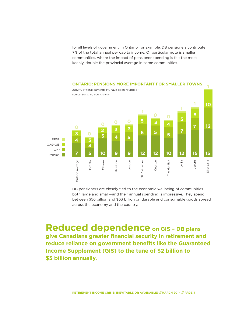for all levels of government. In Ontario, for example, DB pensioners contribute 7% of the total annual per capita income. Of particular note is smaller communities, where the impact of pensioner spending is felt the most keenly, double the provincial average in some communities.



DB pensioners are closely tied to the economic wellbeing of communities both large and small—and their annual spending is impressive. They spend between \$56 billion and \$63 billion on durable and consumable goods spread across the economy and the country.

**Reduced dependence on GIS – DB plans give Canadians greater financial security in retirement and reduce reliance on government benefits like the Guaranteed Income Supplement (GIS) to the tune of \$2 billion to \$3 billion annually.**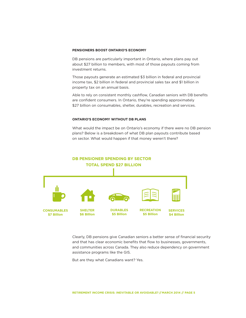#### **PENSIONERS BOOST ONTARIO'S ECONOMY**

DB pensions are particularly important in Ontario, where plans pay out about \$27 billion to members, with most of those payouts coming from investment returns.

Those payouts generate an estimated \$3 billion in federal and provincial income tax, \$2 billion in federal and provincial sales tax and \$1 billion in property tax on an annual basis.

Able to rely on consistent monthly cashflow, Canadian seniors with DB benefits are confident consumers. In Ontario, they're spending approximately \$27 billion on consumables, shelter, durables, recreation and services.

#### **ONTARIO'S ECONOMY WITHOUT DB PLANS**

What would the impact be on Ontario's economy if there were no DB pension plans? Below is a breakdown of what DB plan payouts contribute based on sector. What would happen if that money weren't there?



Clearly, DB pensions give Canadian seniors a better sense of financial security and that has clear economic benefits that flow to businesses, governments, and communities across Canada. They also reduce dependency on government assistance programs like the GIS.

But are they what Canadians want? Yes.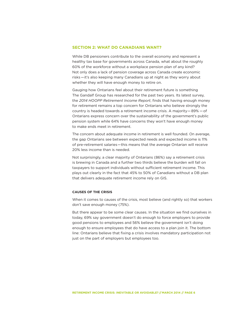#### **SECTION 2: WHAT DO CANADIANS WANT?**

While DB pensioners contribute to the overall economy and represent a healthy tax base for governments across Canada, what about the roughly 60% of the workforce without a workplace pension plan of any kind? Not only does a lack of pension coverage across Canada create economic risks—it's also keeping many Canadians up at night as they worry about whether they will have enough money to retire on.

Gauging how Ontarians feel about their retirement future is something The Gandalf Group has researched for the past two years. Its latest survey, the *2014 HOOPP Retirement Income Report*, finds that having enough money for retirement remains a top concern for Ontarians who believe strongly the country is headed towards a retirement income crisis. A majority — 89% — of Ontarians express concern over the sustainability of the government's public pension system while 64% have concerns they won't have enough money to make ends meet in retirement.

The concern about adequate income in retirement is well founded. On average, the gap Ontarians see between expected needs and expected income is 11% of pre-retirement salaries—this means that the average Ontarian will receive 20% less income than is needed.

Not surprisingly, a clear majority of Ontarians (86%) say a retirement crisis is brewing in Canada and a further two thirds believe the burden will fall on taxpayers to support individuals without sufficient retirement income. This plays out clearly in the fact that 45% to 50% of Canadians without a DB plan that delivers adequate retirement income rely on GIS.

#### **CAUSES OF THE CRISIS**

When it comes to causes of the crisis, most believe (and rightly so) that workers don't save enough money (75%).

But there appear to be some clear causes. In the situation we find ourselves in today, 69% say government doesn't do enough to force employers to provide good pensions to employees and 56% believe the government isn't doing enough to ensure employees that do have access to a plan join it. The bottom line: Ontarians believe that fixing a crisis involves mandatory participation not just on the part of employers but employees too.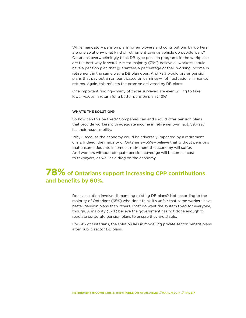While mandatory pension plans for employers and contributions by workers are one solution—what kind of retirement savings vehicle do people want? Ontarians overwhelmingly think DB-type pension programs in the workplace are the best way forward. A clear majority (79%) believe all workers should have a pension plan that guarantees a percentage of their working income in retirement in the same way a DB plan does. And 78% would prefer pension plans that pay out an amount based on earnings—not fluctuations in market returns. Again, this reflects the promise delivered by DB plans.

One important finding—many of those surveyed are even willing to take lower wages in return for a better pension plan (42%).

#### **WHAT'S THE SOLUTION?**

So how can this be fixed? Companies can and should offer pension plans that provide workers with adequate income in retirement—in fact, 59% say it's their responsibility.

Why? Because the economy could be adversely impacted by a retirement crisis. Indeed, the majority of Ontarians—65%—believe that without pensions that ensure adequate income at retirement the economy will suffer. And workers without adequate pension coverage will become a cost to taxpayers, as well as a drag on the economy.

# **78% of Ontarians support increasing CPP contributions and benefits by 60%.**

Does a solution involve dismantling existing DB plans? Not according to the majority of Ontarians (65%) who don't think it's unfair that some workers have better pension plans than others. Most do want the system fixed for everyone, though. A majority (57%) believe the government has not done enough to regulate corporate pension plans to ensure they are stable.

For 61% of Ontarians, the solution lies in modelling private sector benefit plans after public sector DB plans.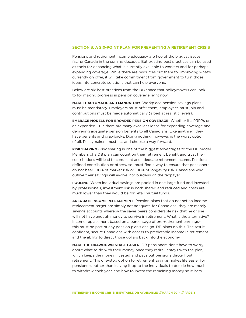#### **SECTION 3: A SIX-POINT PLAN FOR PREVENTING A RETIREMENT CRISIS**

Pensions and retirement income adequacy are two of the biggest issues facing Canada in the coming decades. But existing best practices can be used as tools for enhancing what is currently available to workers and for perhaps expanding coverage. While there are resources out there for improving what's currently on offer, it will take commitment from government to turn those ideas into concrete solutions that can help everyone.

Below are six best practices from the DB space that policymakers can look to for making progress in pension coverage right now:

**MAKE IT AUTOMATIC AND MANDATORY**–Workplace pension savings plans must be mandatory. Employers must offer them, employees must join and contributions must be made automatically (albeit at realistic levels).

**EMBRACE MODELS FOR BROADER PENSION COVERAGE**–Whether it's PRPPs or an expanded CPP, there are many excellent ideas for expanding coverage and delivering adequate pension benefits to all Canadians. Like anything, they have benefits and drawbacks. Doing nothing, however, is the worst option of all. Policymakers must act and choose a way forward.

**RISK SHARING**–Risk sharing is one of the biggest advantages to the DB model. Members of a DB plan can count on their retirement benefit and trust their contributions will lead to consistent and adequate retirement income. Pensions– defined contribution or otherwise–must find a way to ensure that pensioners do not bear 100% of market risk or 100% of longevity risk. Canadians who outlive their savings will evolve into burdens on the taxpayer.

**POOLING**–When individual savings are pooled in one large fund and invested by professionals, investment risk is both shared and reduced and costs are much lower than they would be for retail mutual funds.

**ADEQUATE INCOME REPLACEMENT**–Pension plans that do not set an income replacement target are simply not adequate for Canadians–they are merely savings accounts whereby the saver bears considerable risk that he or she will not have enough money to survive in retirement. What is the alternative? Income replacement based on a percentage of pre-retirement earnings– this must be part of any pension plan's design. DB plans do this. The result– confident, secure Canadians with access to predictable income in retirement and the ability to direct those dollars back into the economy.

**MAKE THE DRAWDOWN STAGE EASIER**–DB pensioners don't have to worry about what to do with their money once they retire. It stays with the plan, which keeps the money invested and pays out pensions throughout retirement. This one-stop option to retirement savings makes life easier for pensioners, rather than leaving it up to the individuals to decide how much to withdraw each year, and how to invest the remaining money so it lasts.